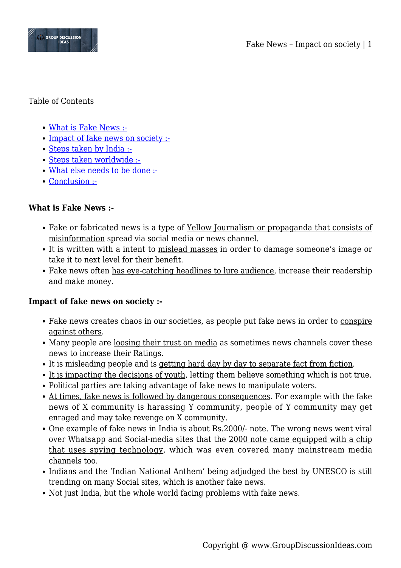

### Table of Contents

- [What is Fake News :-](#page--1-0)
- [Impact of fake news on society :-](#page--1-0)
- [Steps taken by India :-](#page--1-0)
- [Steps taken worldwide :-](#page--1-0)
- [What else needs to be done :-](#page--1-0)
- [Conclusion :-](#page--1-0)

# **What is Fake News :-**

- Fake or fabricated news is a type of Yellow Journalism or propaganda that consists of misinformation spread via social media or news channel.
- It is written with a intent to mislead masses in order to damage someone's image or take it to next level for their benefit.
- Fake news often has eye-catching headlines to lure audience, increase their readership and make money.

### **Impact of fake news on society :-**

- Fake news creates chaos in our societies, as people put fake news in order to conspire against others.
- Many people are <u>loosing their trust on media</u> as sometimes news channels cover these news to increase their Ratings.
- It is misleading people and is getting hard day by day to separate fact from fiction.
- It is impacting the decisions of youth, letting them believe something which is not true.
- Political parties are taking advantage of fake news to manipulate voters.
- At times, fake news is followed by dangerous consequences. For example with the fake news of X community is harassing Y community, people of Y community may get enraged and may take revenge on X community.
- One example of fake news in India is about Rs.2000/- note. The wrong news went viral over Whatsapp and Social-media sites that the 2000 note came equipped with a chip that uses spying technology, which was even covered many mainstream media channels too.
- Indians and the 'Indian National Anthem' being adjudged the best by UNESCO is still trending on many Social sites, which is another fake news.
- Not just India, but the whole world facing problems with fake news.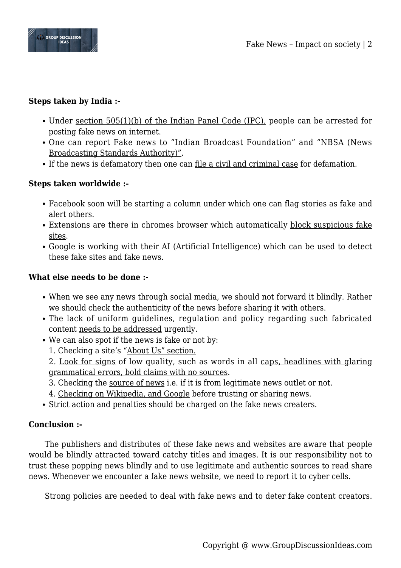

## **Steps taken by India :-**

- Under <u>section 505(1)(b)</u> of the Indian Panel Code (IPC), people can be arrested for posting fake news on internet.
- One can report Fake news to "Indian Broadcast Foundation" and "NBSA (News Broadcasting Standards Authority)".
- If the news is defamatory then one can file a civil and criminal case for defamation.

## **Steps taken worldwide :-**

- Facebook soon will be starting a column under which one can flag stories as fake and alert others.
- Extensions are there in chromes browser which automatically block suspicious fake sites.
- Google is working with their AI (Artificial Intelligence) which can be used to detect these fake sites and fake news.

### **What else needs to be done :-**

- When we see any news through social media, we should not forward it blindly. Rather we should check the authenticity of the news before sharing it with others.
- The lack of uniform guidelines, regulation and policy regarding such fabricated content needs to be addressed urgently.
- We can also spot if the news is fake or not by:
	- 1. Checking a site's "About Us" section.
	- 2. Look for signs of low quality, such as words in all caps, headlines with glaring grammatical errors, bold claims with no sources.
	- 3. Checking the source of news i.e. if it is from legitimate news outlet or not.
	- 4. Checking on Wikipedia, and Google before trusting or sharing news.
- Strict action and penalties should be charged on the fake news creaters.

### **Conclusion :-**

The publishers and distributes of these fake news and websites are aware that people would be blindly attracted toward catchy titles and images. It is our responsibility not to trust these popping news blindly and to use legitimate and authentic sources to read share news. Whenever we encounter a fake news website, we need to report it to cyber cells.

Strong policies are needed to deal with fake news and to deter fake content creators.